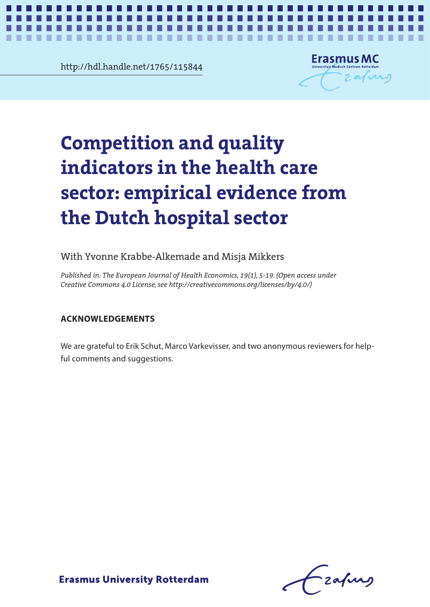**Chapter 4** http://hdl.handle.net/1765/115844



*Competition and quality indicators* **1**

## **Competition and quality** indicators in the health care the Dutch hospital sector and the Dutch hospital sector in the Dutch hospital sector in the Dutch hospital sec the Dutch hospital sector **indicators in the health care sector: empirical evidence from**

## With Yvonne Krabbe-Alkemade and Misja Mikkers

*Published in: The European Journal of Health Economics, 19(1), 5-19. (Open access under Creative Commons 4.0 License, see http://creativecommons.org/licenses/by/4.0/)*

## We are grateful to Erik Schut, Marco Varkevisser, and two anonymous reviewers for help-**ACKNOWLEDGEMENTS**

We are grateful to Erik Schut, Marco Varkevisser, and two anonymous reviewers for helpful comments and suggestions.

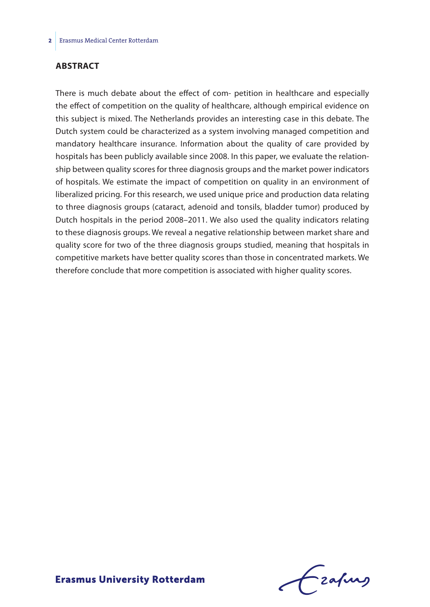#### **ABSTRACT**

There is much debate about the effect of com- petition in healthcare and especially the effect of competition on the quality of healthcare, although empirical evidence on this subject is mixed. The Netherlands provides an interesting case in this debate. The Dutch system could be characterized as a system involving managed competition and mandatory healthcare insurance. Information about the quality of care provided by hospitals has been publicly available since 2008. In this paper, we evaluate the relationship between quality scores for three diagnosis groups and the market power indicators of hospitals. We estimate the impact of competition on quality in an environment of liberalized pricing. For this research, we used unique price and production data relating to three diagnosis groups (cataract, adenoid and tonsils, bladder tumor) produced by Dutch hospitals in the period 2008–2011. We also used the quality indicators relating to these diagnosis groups. We reveal a negative relationship between market share and quality score for two of the three diagnosis groups studied, meaning that hospitals in competitive markets have better quality scores than those in concentrated markets. We therefore conclude that more competition is associated with higher quality scores.

frafing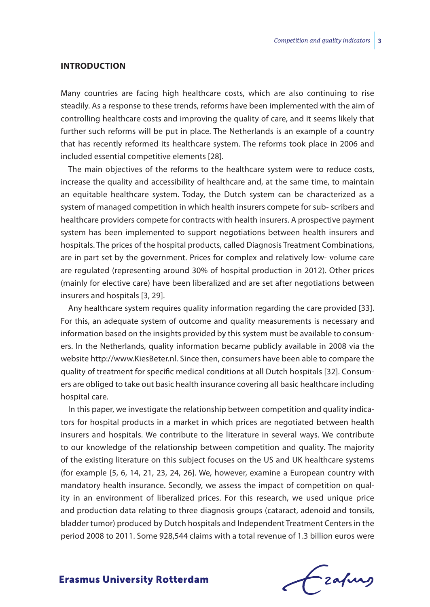#### **INTRODUCTION**

Many countries are facing high healthcare costs, which are also continuing to rise steadily. As a response to these trends, reforms have been implemented with the aim of controlling healthcare costs and improving the quality of care, and it seems likely that further such reforms will be put in place. The Netherlands is an example of a country that has recently reformed its healthcare system. The reforms took place in 2006 and included essential competitive elements [28].

The main objectives of the reforms to the healthcare system were to reduce costs, increase the quality and accessibility of healthcare and, at the same time, to maintain an equitable healthcare system. Today, the Dutch system can be characterized as a system of managed competition in which health insurers compete for sub- scribers and healthcare providers compete for contracts with health insurers. A prospective payment system has been implemented to support negotiations between health insurers and hospitals. The prices of the hospital products, called Diagnosis Treatment Combinations, are in part set by the government. Prices for complex and relatively low- volume care are regulated (representing around 30% of hospital production in 2012). Other prices (mainly for elective care) have been liberalized and are set after negotiations between insurers and hospitals [3, 29].

Any healthcare system requires quality information regarding the care provided [33]. For this, an adequate system of outcome and quality measurements is necessary and information based on the insights provided by this system must be available to consumers. In the Netherlands, quality information became publicly available in 2008 via the website http://www.KiesBeter.nl. Since then, consumers have been able to compare the quality of treatment for specific medical conditions at all Dutch hospitals [32]. Consumers are obliged to take out basic health insurance covering all basic healthcare including hospital care.

In this paper, we investigate the relationship between competition and quality indicators for hospital products in a market in which prices are negotiated between health insurers and hospitals. We contribute to the literature in several ways. We contribute to our knowledge of the relationship between competition and quality. The majority of the existing literature on this subject focuses on the US and UK healthcare systems (for example [5, 6, 14, 21, 23, 24, 26]. We, however, examine a European country with mandatory health insurance. Secondly, we assess the impact of competition on quality in an environment of liberalized prices. For this research, we used unique price and production data relating to three diagnosis groups (cataract, adenoid and tonsils, bladder tumor) produced by Dutch hospitals and Independent Treatment Centers in the period 2008 to 2011. Some 928,544 claims with a total revenue of 1.3 billion euros were

Frahing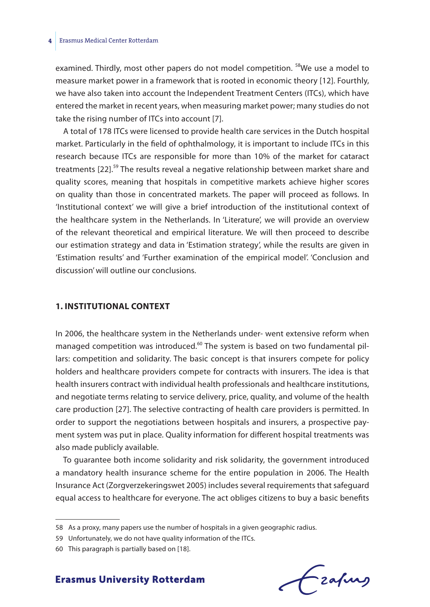#### **4** Erasmus Medical Center Rotterdam

examined. Thirdly, most other papers do not model competition. <sup>58</sup>We use a model to measure market power in a framework that is rooted in economic theory [12]. Fourthly, we have also taken into account the Independent Treatment Centers (ITCs), which have entered the market in recent years, when measuring market power; many studies do not take the rising number of ITCs into account [7].

A total of 178 ITCs were licensed to provide health care services in the Dutch hospital market. Particularly in the field of ophthalmology, it is important to include ITCs in this research because ITCs are responsible for more than 10% of the market for cataract treatments [22].<sup>59</sup> The results reveal a negative relationship between market share and quality scores, meaning that hospitals in competitive markets achieve higher scores on quality than those in concentrated markets. The paper will proceed as follows. In 'Institutional context' we will give a brief introduction of the institutional context of the healthcare system in the Netherlands. In 'Literature', we will provide an overview of the relevant theoretical and empirical literature. We will then proceed to describe our estimation strategy and data in 'Estimation strategy', while the results are given in 'Estimation results' and 'Further examination of the empirical model'. 'Conclusion and discussion' will outline our conclusions.

#### **1. INSTITUTIONAL CONTEXT**

In 2006, the healthcare system in the Netherlands under- went extensive reform when managed competition was introduced.<sup>60</sup> The system is based on two fundamental pillars: competition and solidarity. The basic concept is that insurers compete for policy holders and healthcare providers compete for contracts with insurers. The idea is that health insurers contract with individual health professionals and healthcare institutions, and negotiate terms relating to service delivery, price, quality, and volume of the health care production [27]. The selective contracting of health care providers is permitted. In order to support the negotiations between hospitals and insurers, a prospective payment system was put in place. Quality information for different hospital treatments was also made publicly available.

To guarantee both income solidarity and risk solidarity, the government introduced a mandatory health insurance scheme for the entire population in 2006. The Health Insurance Act (Zorgverzekeringswet 2005) includes several requirements that safeguard equal access to healthcare for everyone. The act obliges citizens to buy a basic benefits



<sup>58</sup> As a proxy, many papers use the number of hospitals in a given geographic radius.

<sup>59</sup> Unfortunately, we do not have quality information of the ITCs.

<sup>60</sup> This paragraph is partially based on [18].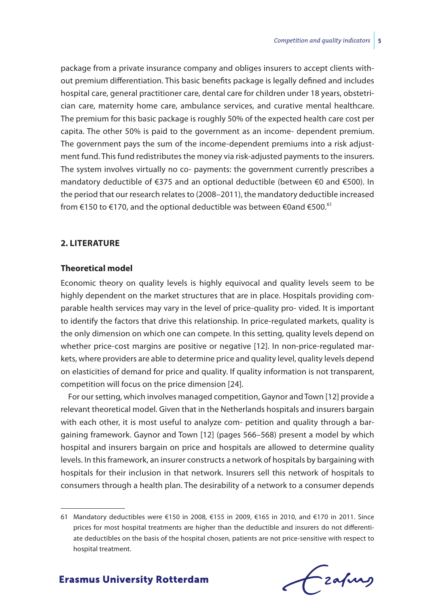package from a private insurance company and obliges insurers to accept clients without premium differentiation. This basic benefits package is legally defined and includes hospital care, general practitioner care, dental care for children under 18 years, obstetrician care, maternity home care, ambulance services, and curative mental healthcare. The premium for this basic package is roughly 50% of the expected health care cost per capita. The other 50% is paid to the government as an income- dependent premium. The government pays the sum of the income-dependent premiums into a risk adjustment fund. This fund redistributes the money via risk-adjusted payments to the insurers. The system involves virtually no co- payments: the government currently prescribes a mandatory deductible of €375 and an optional deductible (between €0 and €500). In the period that our research relates to (2008–2011), the mandatory deductible increased from €150 to €170, and the optional deductible was between €0and €500.<sup>61</sup>

#### **2. LITERATURE**

#### **Theoretical model**

Economic theory on quality levels is highly equivocal and quality levels seem to be highly dependent on the market structures that are in place. Hospitals providing comparable health services may vary in the level of price-quality pro- vided. It is important to identify the factors that drive this relationship. In price-regulated markets, quality is the only dimension on which one can compete. In this setting, quality levels depend on whether price-cost margins are positive or negative [12]. In non-price-regulated markets, where providers are able to determine price and quality level, quality levels depend on elasticities of demand for price and quality. If quality information is not transparent, competition will focus on the price dimension [24].

For our setting, which involves managed competition, Gaynor and Town [12] provide a relevant theoretical model. Given that in the Netherlands hospitals and insurers bargain with each other, it is most useful to analyze com- petition and quality through a bargaining framework. Gaynor and Town [12] (pages 566–568) present a model by which hospital and insurers bargain on price and hospitals are allowed to determine quality levels. In this framework, an insurer constructs a network of hospitals by bargaining with hospitals for their inclusion in that network. Insurers sell this network of hospitals to consumers through a health plan. The desirability of a network to a consumer depends

<sup>61</sup> Mandatory deductibles were €150 in 2008, €155 in 2009, €165 in 2010, and €170 in 2011. Since prices for most hospital treatments are higher than the deductible and insurers do not differentiate deductibles on the basis of the hospital chosen, patients are not price-sensitive with respect to hospital treatment.

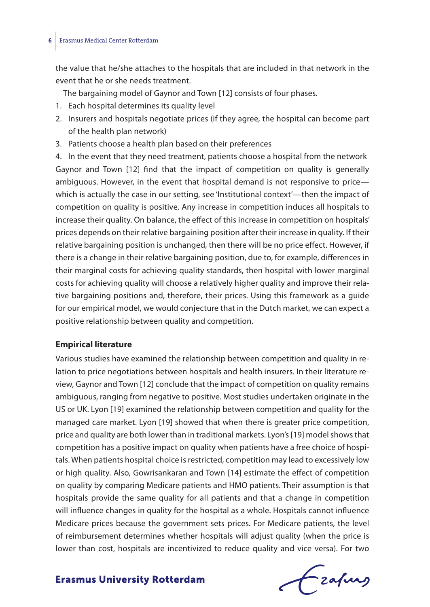#### **6** Erasmus Medical Center Rotterdam

the value that he/she attaches to the hospitals that are included in that network in the event that he or she needs treatment.

The bargaining model of Gaynor and Town [12] consists of four phases.

- 1. Each hospital determines its quality level
- 2. Insurers and hospitals negotiate prices (if they agree, the hospital can become part of the health plan network)
- 3. Patients choose a health plan based on their preferences

4. In the event that they need treatment, patients choose a hospital from the network Gaynor and Town [12] find that the impact of competition on quality is generally ambiguous. However, in the event that hospital demand is not responsive to price which is actually the case in our setting, see 'Institutional context'—then the impact of competition on quality is positive. Any increase in competition induces all hospitals to increase their quality. On balance, the effect of this increase in competition on hospitals' prices depends on their relative bargaining position after their increase in quality. If their relative bargaining position is unchanged, then there will be no price effect. However, if there is a change in their relative bargaining position, due to, for example, differences in their marginal costs for achieving quality standards, then hospital with lower marginal costs for achieving quality will choose a relatively higher quality and improve their relative bargaining positions and, therefore, their prices. Using this framework as a guide for our empirical model, we would conjecture that in the Dutch market, we can expect a positive relationship between quality and competition.

#### **Empirical literature**

Various studies have examined the relationship between competition and quality in relation to price negotiations between hospitals and health insurers. In their literature review, Gaynor and Town [12] conclude that the impact of competition on quality remains ambiguous, ranging from negative to positive. Most studies undertaken originate in the US or UK. Lyon [19] examined the relationship between competition and quality for the managed care market. Lyon [19] showed that when there is greater price competition, price and quality are both lower than in traditional markets. Lyon's [19] model shows that competition has a positive impact on quality when patients have a free choice of hospitals. When patients hospital choice is restricted, competition may lead to excessively low or high quality. Also, Gowrisankaran and Town [14] estimate the effect of competition on quality by comparing Medicare patients and HMO patients. Their assumption is that hospitals provide the same quality for all patients and that a change in competition will influence changes in quality for the hospital as a whole. Hospitals cannot influence Medicare prices because the government sets prices. For Medicare patients, the level of reimbursement determines whether hospitals will adjust quality (when the price is lower than cost, hospitals are incentivized to reduce quality and vice versa). For two

Frahing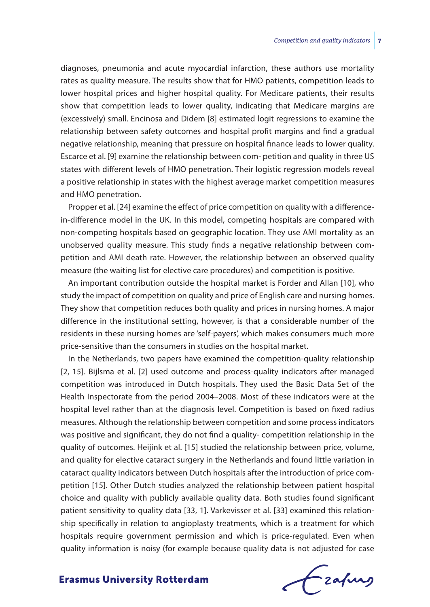diagnoses, pneumonia and acute myocardial infarction, these authors use mortality rates as quality measure. The results show that for HMO patients, competition leads to lower hospital prices and higher hospital quality. For Medicare patients, their results show that competition leads to lower quality, indicating that Medicare margins are (excessively) small. Encinosa and Didem [8] estimated logit regressions to examine the relationship between safety outcomes and hospital profit margins and find a gradual negative relationship, meaning that pressure on hospital finance leads to lower quality. Escarce et al. [9] examine the relationship between com- petition and quality in three US states with different levels of HMO penetration. Their logistic regression models reveal a positive relationship in states with the highest average market competition measures and HMO penetration.

Propper et al. [24] examine the effect of price competition on quality with a differencein-difference model in the UK. In this model, competing hospitals are compared with non-competing hospitals based on geographic location. They use AMI mortality as an unobserved quality measure. This study finds a negative relationship between competition and AMI death rate. However, the relationship between an observed quality measure (the waiting list for elective care procedures) and competition is positive.

An important contribution outside the hospital market is Forder and Allan [10], who study the impact of competition on quality and price of English care and nursing homes. They show that competition reduces both quality and prices in nursing homes. A major difference in the institutional setting, however, is that a considerable number of the residents in these nursing homes are 'self-payers', which makes consumers much more price-sensitive than the consumers in studies on the hospital market.

In the Netherlands, two papers have examined the competition-quality relationship [2, 15]. Bijlsma et al. [2] used outcome and process-quality indicators after managed competition was introduced in Dutch hospitals. They used the Basic Data Set of the Health Inspectorate from the period 2004–2008. Most of these indicators were at the hospital level rather than at the diagnosis level. Competition is based on fixed radius measures. Although the relationship between competition and some process indicators was positive and significant, they do not find a quality- competition relationship in the quality of outcomes. Heijink et al. [15] studied the relationship between price, volume, and quality for elective cataract surgery in the Netherlands and found little variation in cataract quality indicators between Dutch hospitals after the introduction of price competition [15]. Other Dutch studies analyzed the relationship between patient hospital choice and quality with publicly available quality data. Both studies found significant patient sensitivity to quality data [33, 1]. Varkevisser et al. [33] examined this relationship specifically in relation to angioplasty treatments, which is a treatment for which hospitals require government permission and which is price-regulated. Even when quality information is noisy (for example because quality data is not adjusted for case

frafing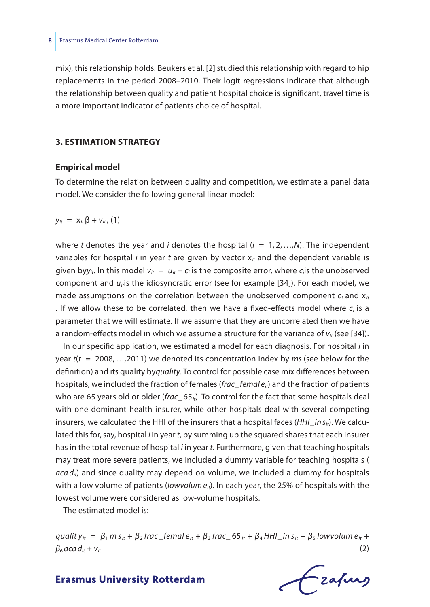mix), this relationship holds. Beukers et al. [2] studied this relationship with regard to hip replacements in the period 2008–2010. Their logit regressions indicate that although the relationship between quality and patient hospital choice is significant, travel time is a more important indicator of patients choice of hospital.

#### **3. ESTIMATION STRATEGY**

#### **Empirical model**

To determine the relation between quality and competition, we estimate a panel data model. We consider the following general linear model:

*y<sub>it</sub>* =  $X_{it}$  β +  $V_{it}$ , (1)

where *t* denotes the year and *i* denotes the hospital (*i* = 1, 2,…,*N*). The independent variables for hospital *i* in year *t* are given by vector  $x_{it}$  and the dependent variable is given byy<sub>*it*</sub>. In this model  $v_{it} = u_{it} + c_i$  is the composite error, where  $c_i$  is the unobserved component and  $u_{ij}$  is the idiosyncratic error (see for example [34]). For each model, we made assumptions on the correlation between the unobserved component  $c_i$  and  $x_i$ . If we allow these to be correlated, then we have a fixed-effects model where  $c_i$  is a parameter that we will estimate. If we assume that they are uncorrelated then we have a random-effects model in which we assume a structure for the variance of  $v_{ir}$  (see [34]).

In our specific application, we estimated a model for each diagnosis. For hospital *i* in year *t*(*t* = 2008,…,2011) we denoted its concentration index by *ms* (see below for the definition) and its quality by*quality*. To control for possible case mix differences between hospitals, we included the fraction of females (*frac*\_*femal eit*) and the fraction of patients who are 65 years old or older (*frac*\_ 65<sub>*it*</sub>). To control for the fact that some hospitals deal with one dominant health insurer, while other hospitals deal with several competing insurers, we calculated the HHI of the insurers that a hospital faces (*HHI*\_*in sit*). We calculated this for, say, hospital *i* in year *t*, by summing up the squared shares that each insurer has in the total revenue of hospital *i* in year *t*. Furthermore, given that teaching hospitals may treat more severe patients, we included a dummy variable for teaching hospitals ( *aca dit*) and since quality may depend on volume, we included a dummy for hospitals with a low volume of patients (*lowvolume<sub>ii</sub>*). In each year, the 25% of hospitals with the lowest volume were considered as low-volume hospitals.

The estimated model is:

quality<sub>it</sub> =  $\beta_1$  m s<sub>it</sub> +  $\beta_2$  frac\_femal e<sub>it</sub> +  $\beta_3$  frac\_65<sub>it</sub> +  $\beta_4$  HHI\_in s<sub>it</sub> +  $\beta_5$  lowvolum e<sub>it</sub> +  $\beta_6$  *aca*  $d_{it} + v_{it}$  (2)

Frafing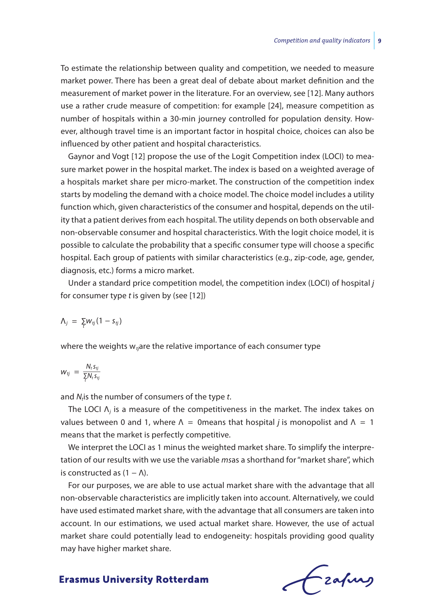To estimate the relationship between quality and competition, we needed to measure market power. There has been a great deal of debate about market definition and the measurement of market power in the literature. For an overview, see [12]. Many authors use a rather crude measure of competition: for example [24], measure competition as number of hospitals within a 30-min journey controlled for population density. However, although travel time is an important factor in hospital choice, choices can also be influenced by other patient and hospital characteristics.

Gaynor and Vogt [12] propose the use of the Logit Competition index (LOCI) to measure market power in the hospital market. The index is based on a weighted average of a hospitals market share per micro-market. The construction of the competition index starts by modeling the demand with a choice model. The choice model includes a utility function which, given characteristics of the consumer and hospital, depends on the utility that a patient derives from each hospital. The utility depends on both observable and non-observable consumer and hospital characteristics. With the logit choice model, it is possible to calculate the probability that a specific consumer type will choose a specific hospital. Each group of patients with similar characteristics (e.g., zip-code, age, gender, diagnosis, etc.) forms a micro market.

Under a standard price competition model, the competition index (LOCI) of hospital *j* for consumer type *t* is given by (see [12])

$$
\Lambda_j = \sum_t w_{tj} (1 - s_{tj})
$$

where the weights w<sub>*tj*</sub>are the relative importance of each consumer type<br>  $w_{tj} = \frac{N_t s_{tj}}{\sum N_t s_{tj}}$ 

$$
W_{tj} = \frac{N_t s_{tj}}{\sum_i N_t s_{tj}}
$$

and *N*<sub>t</sub> is the number of consumers of the type *t*.

The LOCI  $\Lambda_i$  is a measure of the competitiveness in the market. The index takes on values between 0 and 1, where  $\Lambda = 0$  means that hospital *j* is monopolist and  $\Lambda = 1$ means that the market is perfectly competitive.

We interpret the LOCI as 1 minus the weighted market share. To simplify the interpretation of our results with we use the variable *ms*as a shorthand for ''market share'', which is constructed as  $(1 - \Lambda)$ .

For our purposes, we are able to use actual market share with the advantage that all non-observable characteristics are implicitly taken into account. Alternatively, we could have used estimated market share, with the advantage that all consumers are taken into account. In our estimations, we used actual market share. However, the use of actual market share could potentially lead to endogeneity: hospitals providing good quality may have higher market share.

Czafing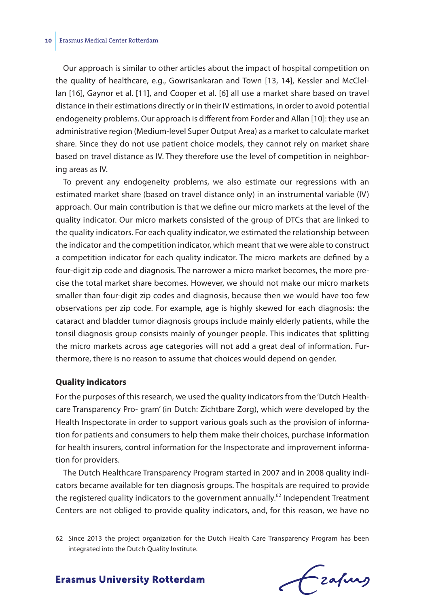Our approach is similar to other articles about the impact of hospital competition on the quality of healthcare, e.g., Gowrisankaran and Town [13, 14], Kessler and McClellan [16], Gaynor et al. [11], and Cooper et al. [6] all use a market share based on travel distance in their estimations directly or in their IV estimations, in order to avoid potential endogeneity problems. Our approach is different from Forder and Allan [10]: they use an administrative region (Medium-level Super Output Area) as a market to calculate market share. Since they do not use patient choice models, they cannot rely on market share based on travel distance as IV. They therefore use the level of competition in neighboring areas as IV.

To prevent any endogeneity problems, we also estimate our regressions with an estimated market share (based on travel distance only) in an instrumental variable (IV) approach. Our main contribution is that we define our micro markets at the level of the quality indicator. Our micro markets consisted of the group of DTCs that are linked to the quality indicators. For each quality indicator, we estimated the relationship between the indicator and the competition indicator, which meant that we were able to construct a competition indicator for each quality indicator. The micro markets are defined by a four-digit zip code and diagnosis. The narrower a micro market becomes, the more precise the total market share becomes. However, we should not make our micro markets smaller than four-digit zip codes and diagnosis, because then we would have too few observations per zip code. For example, age is highly skewed for each diagnosis: the cataract and bladder tumor diagnosis groups include mainly elderly patients, while the tonsil diagnosis group consists mainly of younger people. This indicates that splitting the micro markets across age categories will not add a great deal of information. Furthermore, there is no reason to assume that choices would depend on gender.

#### **Quality indicators**

For the purposes of this research, we used the quality indicators from the 'Dutch Healthcare Transparency Pro- gram' (in Dutch: Zichtbare Zorg), which were developed by the Health Inspectorate in order to support various goals such as the provision of information for patients and consumers to help them make their choices, purchase information for health insurers, control information for the Inspectorate and improvement information for providers.

The Dutch Healthcare Transparency Program started in 2007 and in 2008 quality indicators became available for ten diagnosis groups. The hospitals are required to provide the registered quality indicators to the government annually.<sup>62</sup> Independent Treatment Centers are not obliged to provide quality indicators, and, for this reason, we have no

<sup>62</sup> Since 2013 the project organization for the Dutch Health Care Transparency Program has been integrated into the Dutch Quality Institute.

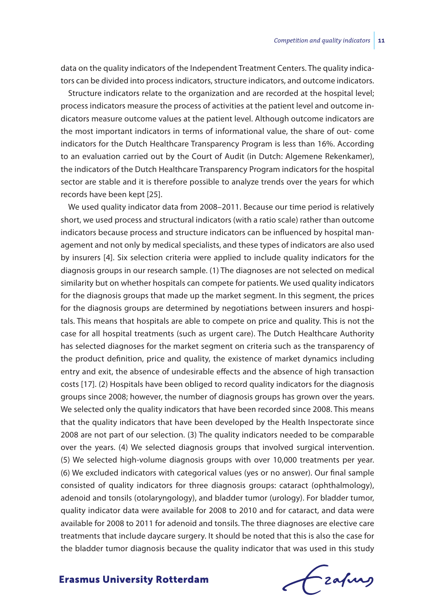data on the quality indicators of the Independent Treatment Centers. The quality indicators can be divided into process indicators, structure indicators, and outcome indicators.

Structure indicators relate to the organization and are recorded at the hospital level; process indicators measure the process of activities at the patient level and outcome indicators measure outcome values at the patient level. Although outcome indicators are the most important indicators in terms of informational value, the share of out- come indicators for the Dutch Healthcare Transparency Program is less than 16%. According to an evaluation carried out by the Court of Audit (in Dutch: Algemene Rekenkamer), the indicators of the Dutch Healthcare Transparency Program indicators for the hospital sector are stable and it is therefore possible to analyze trends over the years for which records have been kept [25].

We used quality indicator data from 2008–2011. Because our time period is relatively short, we used process and structural indicators (with a ratio scale) rather than outcome indicators because process and structure indicators can be influenced by hospital management and not only by medical specialists, and these types of indicators are also used by insurers [4]. Six selection criteria were applied to include quality indicators for the diagnosis groups in our research sample. (1) The diagnoses are not selected on medical similarity but on whether hospitals can compete for patients. We used quality indicators for the diagnosis groups that made up the market segment. In this segment, the prices for the diagnosis groups are determined by negotiations between insurers and hospitals. This means that hospitals are able to compete on price and quality. This is not the case for all hospital treatments (such as urgent care). The Dutch Healthcare Authority has selected diagnoses for the market segment on criteria such as the transparency of the product definition, price and quality, the existence of market dynamics including entry and exit, the absence of undesirable effects and the absence of high transaction costs [17]. (2) Hospitals have been obliged to record quality indicators for the diagnosis groups since 2008; however, the number of diagnosis groups has grown over the years. We selected only the quality indicators that have been recorded since 2008. This means that the quality indicators that have been developed by the Health Inspectorate since 2008 are not part of our selection. (3) The quality indicators needed to be comparable over the years. (4) We selected diagnosis groups that involved surgical intervention. (5) We selected high-volume diagnosis groups with over 10,000 treatments per year. (6) We excluded indicators with categorical values (yes or no answer). Our final sample consisted of quality indicators for three diagnosis groups: cataract (ophthalmology), adenoid and tonsils (otolaryngology), and bladder tumor (urology). For bladder tumor, quality indicator data were available for 2008 to 2010 and for cataract, and data were available for 2008 to 2011 for adenoid and tonsils. The three diagnoses are elective care treatments that include daycare surgery. It should be noted that this is also the case for the bladder tumor diagnosis because the quality indicator that was used in this study

frafing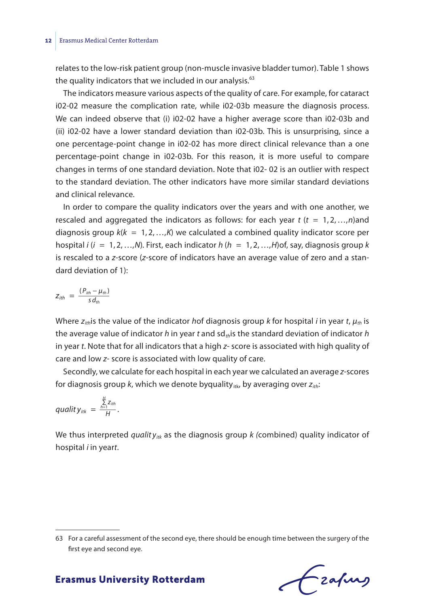#### **12** Erasmus Medical Center Rotterdam

relates to the low-risk patient group (non-muscle invasive bladder tumor). Table 1 shows the quality indicators that we included in our analysis. $63$ 

The indicators measure various aspects of the quality of care. For example, for cataract i02-02 measure the complication rate, while i02-03b measure the diagnosis process. We can indeed observe that (i) i02-02 have a higher average score than i02-03b and (ii) i02-02 have a lower standard deviation than i02-03b. This is unsurprising, since a one percentage-point change in i02-02 has more direct clinical relevance than a one percentage-point change in i02-03b. For this reason, it is more useful to compare changes in terms of one standard deviation. Note that i02- 02 is an outlier with respect to the standard deviation. The other indicators have more similar standard deviations and clinical relevance.

In order to compare the quality indicators over the years and with one another, we rescaled and aggregated the indicators as follows: for each year *t* (*t* = 1, 2,…,*n*)and diagnosis group *k*(*k* = 1, 2,…,*K*) we calculated a combined quality indicator score per hospital *i* (*i* = 1, 2,…,*N*)*.* First, each indicator *h* (*h* = 1, 2,…,*H*)of, say, diagnosis group *k* is rescaled to a *z*-score (*z*-score of indicators have an average value of zero and a standard deviation of 1): *z*<br>*is rescaled to a*<br>dard deviation<br> $z_{ith} = \frac{(P_{ith} - \mu_{th})}{s d_{th}}$ 

$$
Z_{ith} = \frac{(P_{ith} - \mu_{th})}{s d_{th}}
$$

Where *zith*is the value of the indicator *h*of diagnosis group *k* for hospital *i* in year *t*, *μth* is the average value of indicator *h* in year *t* and sd*th*is the standard deviation of indicator *h* in year *t*. Note that for all indicators that a high *z*- score is associated with high quality of care and low *z*- score is associated with low quality of care.

Secondly, we calculate for each hospital in each year we calculated an average *z*-scores for diagnosis group *k*, which we denote byquality<sub>itk</sub>, by averaging over  $z_{ith}$ ;<br> $quality_{itk} = \frac{\sum\limits_{h=1}^{H} z_{ith}}{H}.$ 

$$
quality_{itk} = \frac{\sum_{h=1}^{H} Z_{ith}}{H}.
$$

We thus interpreted *quality<sub>itk</sub>* as the diagnosis group *k* (combined) quality indicator of hospital *i* in year*t*.

frafing

<sup>63</sup> For a careful assessment of the second eye, there should be enough time between the surgery of the first eye and second eye.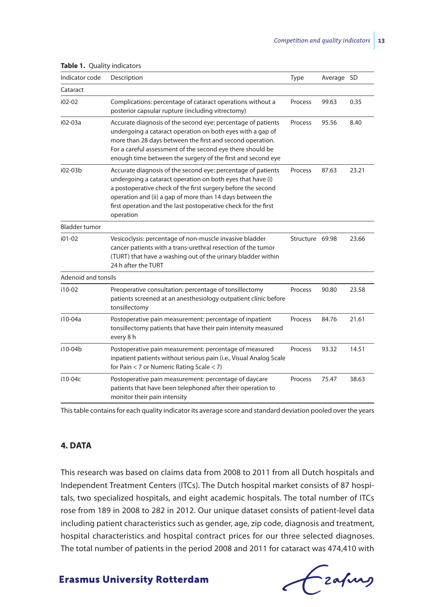| Indicator code       | Description                                                                                                                                                                                                                                                                                                                            | Type            | Average SD |       |
|----------------------|----------------------------------------------------------------------------------------------------------------------------------------------------------------------------------------------------------------------------------------------------------------------------------------------------------------------------------------|-----------------|------------|-------|
| Cataract             |                                                                                                                                                                                                                                                                                                                                        |                 |            |       |
| $102 - 02$           | Complications: percentage of cataract operations without a<br>posterior capsular rupture (including vitrectomy)                                                                                                                                                                                                                        | Process         | 99.63      | 0.35  |
| i02-03a              | Accurate diagnosis of the second eye: percentage of patients<br>undergoing a cataract operation on both eyes with a gap of<br>more than 28 days between the first and second operation.<br>For a careful assessment of the second eye there should be<br>enough time between the surgery of the first and second eye                   | Process         | 95.56      | 8.40  |
| $i02-03b$            | Accurate diagnosis of the second eye: percentage of patients<br>undergoing a cataract operation on both eyes that have (i)<br>a postoperative check of the first surgery before the second<br>operation and (ii) a gap of more than 14 days between the<br>first operation and the last postoperative check for the first<br>operation | Process         | 87.63      | 23.21 |
| <b>Bladder tumor</b> |                                                                                                                                                                                                                                                                                                                                        |                 |            |       |
| $i01-02$             | Vesicoclysis: percentage of non-muscle invasive bladder<br>cancer patients with a trans-urethral resection of the tumor<br>(TURT) that have a washing out of the urinary bladder within<br>24 h after the TURT                                                                                                                         | Structure 69.98 |            | 23.66 |
| Adenoid and tonsils  |                                                                                                                                                                                                                                                                                                                                        |                 |            |       |
| i10-02               | Preoperative consultation: percentage of tonsillectomy<br>patients screened at an anesthesiology outpatient clinic before<br>tonsillectomy                                                                                                                                                                                             | Process         | 90.80      | 23.58 |
| i10-04a              | Postoperative pain measurement: percentage of inpatient<br>tonsillectomy patients that have their pain intensity measured<br>every 8 h                                                                                                                                                                                                 | Process         | 84.76      | 21.61 |
| i10-04b              | Postoperative pain measurement: percentage of measured<br>inpatient patients without serious pain (i.e., Visual Analog Scale<br>for Pain $<$ 7 or Numeric Rating Scale $<$ 7)                                                                                                                                                          | Process         | 93.32      | 14.51 |
| i10-04c              | Postoperative pain measurement: percentage of daycare<br>patients that have been telephoned after their operation to<br>monitor their pain intensity                                                                                                                                                                                   | Process         | 75.47      | 38.63 |

**Table 1.** Quality indicators

This table contains for each quality indicator its average score and standard deviation pooled over the years

#### **4. DATA**

This research was based on claims data from 2008 to 2011 from all Dutch hospitals and Independent Treatment Centers (ITCs). The Dutch hospital market consists of 87 hospitals, two specialized hospitals, and eight academic hospitals. The total number of ITCs rose from 189 in 2008 to 282 in 2012. Our unique dataset consists of patient-level data including patient characteristics such as gender, age, zip code, diagnosis and treatment, hospital characteristics and hospital contract prices for our three selected diagnoses. The total number of patients in the period 2008 and 2011 for cataract was 474,410 with

Czafing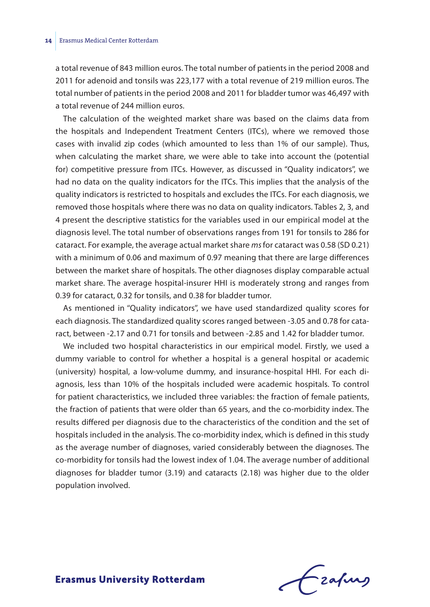a total revenue of 843 million euros. The total number of patients in the period 2008 and 2011 for adenoid and tonsils was 223,177 with a total revenue of 219 million euros. The total number of patients in the period 2008 and 2011 for bladder tumor was 46,497 with a total revenue of 244 million euros.

The calculation of the weighted market share was based on the claims data from the hospitals and Independent Treatment Centers (ITCs), where we removed those cases with invalid zip codes (which amounted to less than 1% of our sample). Thus, when calculating the market share, we were able to take into account the (potential for) competitive pressure from ITCs. However, as discussed in ''Quality indicators'', we had no data on the quality indicators for the ITCs. This implies that the analysis of the quality indicators is restricted to hospitals and excludes the ITCs. For each diagnosis, we removed those hospitals where there was no data on quality indicators. Tables 2, 3, and 4 present the descriptive statistics for the variables used in our empirical model at the diagnosis level. The total number of observations ranges from 191 for tonsils to 286 for cataract. For example, the average actual market share *ms* for cataract was 0.58 (SD 0.21) with a minimum of 0.06 and maximum of 0.97 meaning that there are large differences between the market share of hospitals. The other diagnoses display comparable actual market share. The average hospital-insurer HHI is moderately strong and ranges from 0.39 for cataract, 0.32 for tonsils, and 0.38 for bladder tumor.

As mentioned in ''Quality indicators'', we have used standardized quality scores for each diagnosis. The standardized quality scores ranged between -3.05 and 0.78 for cataract, between -2.17 and 0.71 for tonsils and between -2.85 and 1.42 for bladder tumor.

We included two hospital characteristics in our empirical model. Firstly, we used a dummy variable to control for whether a hospital is a general hospital or academic (university) hospital, a low-volume dummy, and insurance-hospital HHI. For each diagnosis, less than 10% of the hospitals included were academic hospitals. To control for patient characteristics, we included three variables: the fraction of female patients, the fraction of patients that were older than 65 years, and the co-morbidity index. The results differed per diagnosis due to the characteristics of the condition and the set of hospitals included in the analysis. The co-morbidity index, which is defined in this study as the average number of diagnoses, varied considerably between the diagnoses. The co-morbidity for tonsils had the lowest index of 1.04. The average number of additional diagnoses for bladder tumor (3.19) and cataracts (2.18) was higher due to the older population involved.

frafing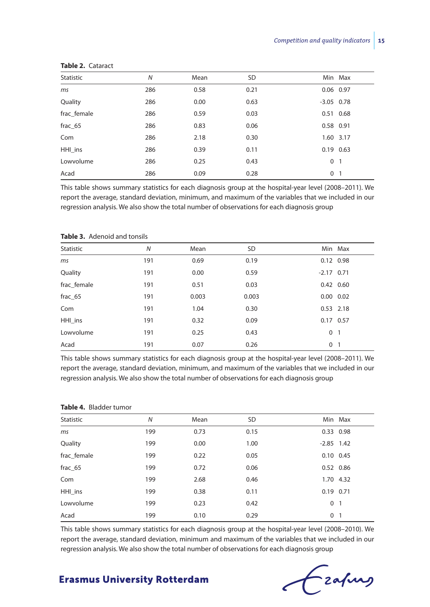| Statistic   | $\overline{N}$ | Mean | <b>SD</b> | Min Max             |
|-------------|----------------|------|-----------|---------------------|
| ms          | 286            | 0.58 | 0.21      | 0.06 0.97           |
| Quality     | 286            | 0.00 | 0.63      | $-3.05$ 0.78        |
| frac female | 286            | 0.59 | 0.03      | 0.51 0.68           |
| frac 65     | 286            | 0.83 | 0.06      | 0.58 0.91           |
| Com         | 286            | 2.18 | 0.30      | 1.60 3.17           |
| HHI ins     | 286            | 0.39 | 0.11      | $0.19$ $0.63$       |
| Lowvolume   | 286            | 0.25 | 0.43      | $\overline{1}$<br>0 |
| Acad        | 286            | 0.09 | 0.28      | 0 <sub>1</sub>      |

#### **Table 2.** Cataract

This table shows summary statistics for each diagnosis group at the hospital-year level (2008–2011). We report the average, standard deviation, minimum, and maximum of the variables that we included in our regression analysis. We also show the total number of observations for each diagnosis group

| Statistic   | $\overline{N}$ | Mean  | SD    | Min Max             |
|-------------|----------------|-------|-------|---------------------|
| ms          | 191            | 0.69  | 0.19  | $0.12$ 0.98         |
| Quality     | 191            | 0.00  | 0.59  | $-2.17$ 0.71        |
| frac female | 191            | 0.51  | 0.03  | $0.42$ 0.60         |
| $frac_65$   | 191            | 0.003 | 0.003 | $0.00 \quad 0.02$   |
| Com         | 191            | 1.04  | 0.30  | $0.53$ 2.18         |
| HHI ins     | 191            | 0.32  | 0.09  | 0.17 0.57           |
| Lowvolume   | 191            | 0.25  | 0.43  | 0<br>$\overline{1}$ |
| Acad        | 191            | 0.07  | 0.26  | 0 <sub>1</sub>      |

#### **Table 3.** Adenoid and tonsils

This table shows summary statistics for each diagnosis group at the hospital-year level (2008–2011). We report the average, standard deviation, minimum, and maximum of the variables that we included in our regression analysis. We also show the total number of observations for each diagnosis group

#### **Table 4.** Bladder tumor

| Statistic   | $\overline{N}$ | Mean | SD   | Min Max                    |
|-------------|----------------|------|------|----------------------------|
| ms          | 199            | 0.73 | 0.15 | 0.33 0.98                  |
| Quality     | 199            | 0.00 | 1.00 | $-2.85$ 1.42               |
| frac female | 199            | 0.22 | 0.05 | $0.10 \quad 0.45$          |
| frac 65     | 199            | 0.72 | 0.06 | $0.52$ 0.86                |
| Com         | 199            | 2.68 | 0.46 | 1.70 4.32                  |
| HHI ins     | 199            | 0.38 | 0.11 | $0.19$ $0.71$              |
| Lowvolume   | 199            | 0.23 | 0.42 | 0 <sub>1</sub>             |
| Acad        | 199            | 0.10 | 0.29 | $\Omega$<br>$\overline{1}$ |

This table shows summary statistics for each diagnosis group at the hospital-year level (2008–2010). We report the average, standard deviation, minimum and maximum of the variables that we included in our regression analysis. We also show the total number of observations for each diagnosis group

Fraping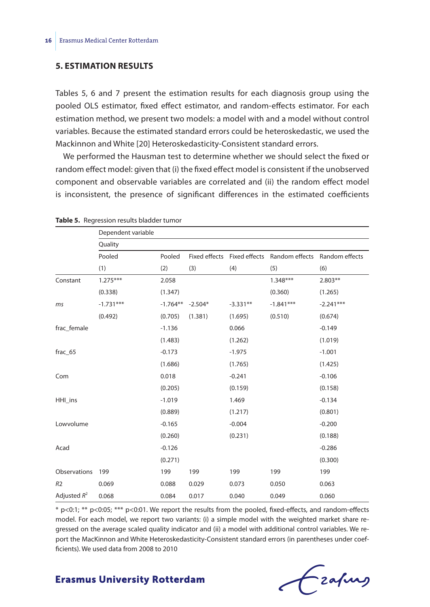#### **5. ESTIMATION RESULTS**

Tables 5, 6 and 7 present the estimation results for each diagnosis group using the pooled OLS estimator, fixed effect estimator, and random-effects estimator. For each estimation method, we present two models: a model with and a model without control variables. Because the estimated standard errors could be heteroskedastic, we used the Mackinnon and White [20] Heteroskedasticity-Consistent standard errors.

We performed the Hausman test to determine whether we should select the fixed or random effect model: given that (i) the fixed effect model is consistent if the unobserved component and observable variables are correlated and (ii) the random effect model is inconsistent, the presence of significant differences in the estimated coefficients

|                | Dependent variable |            |           |            |                                            |                |
|----------------|--------------------|------------|-----------|------------|--------------------------------------------|----------------|
|                | Quality            |            |           |            |                                            |                |
|                | Pooled             | Pooled     |           |            | Fixed effects Fixed effects Random effects | Random effects |
|                | (1)                | (2)        | (3)       | (4)        | (5)                                        | (6)            |
| Constant       | $1.275***$         | 2.058      |           |            | $1.348***$                                 | $2.803**$      |
|                | (0.338)            | (1.347)    |           |            | (0.360)                                    | (1.265)        |
| ms             | $-1.731***$        | $-1.764**$ | $-2.504*$ | $-3.331**$ | $-1.841***$                                | $-2.241***$    |
|                | (0.492)            | (0.705)    | (1.381)   | (1.695)    | (0.510)                                    | (0.674)        |
| frac female    |                    | $-1.136$   |           | 0.066      |                                            | $-0.149$       |
|                |                    | (1.483)    |           | (1.262)    |                                            | (1.019)        |
| frac_65        |                    | $-0.173$   |           | $-1.975$   |                                            | $-1.001$       |
|                |                    | (1.686)    |           | (1.765)    |                                            | (1.425)        |
| Com            |                    | 0.018      |           | $-0.241$   |                                            | $-0.106$       |
|                |                    | (0.205)    |           | (0.159)    |                                            | (0.158)        |
| HHI ins        |                    | $-1.019$   |           | 1.469      |                                            | $-0.134$       |
|                |                    | (0.889)    |           | (1.217)    |                                            | (0.801)        |
| Lowvolume      |                    | $-0.165$   |           | $-0.004$   |                                            | $-0.200$       |
|                |                    | (0.260)    |           | (0.231)    |                                            | (0.188)        |
| Acad           |                    | $-0.126$   |           |            |                                            | $-0.286$       |
|                |                    | (0.271)    |           |            |                                            | (0.300)        |
| Observations   | 199                | 199        | 199       | 199        | 199                                        | 199            |
| R <sub>2</sub> | 0.069              | 0.088      | 0.029     | 0.073      | 0.050                                      | 0.063          |
| Adjusted $R^2$ | 0.068              | 0.084      | 0.017     | 0.040      | 0.049                                      | 0.060          |

**Table 5.** Regression results bladder tumor

\* p<0:1; \*\* p<0:05; \*\*\* p<0:01. We report the results from the pooled, fixed-effects, and random-effects model. For each model, we report two variants: (i) a simple model with the weighted market share regressed on the average scaled quality indicator and (ii) a model with additional control variables. We report the MacKinnon and White Heteroskedasticity-Consistent standard errors (in parentheses under coefficients). We used data from 2008 to 2010

# Frafing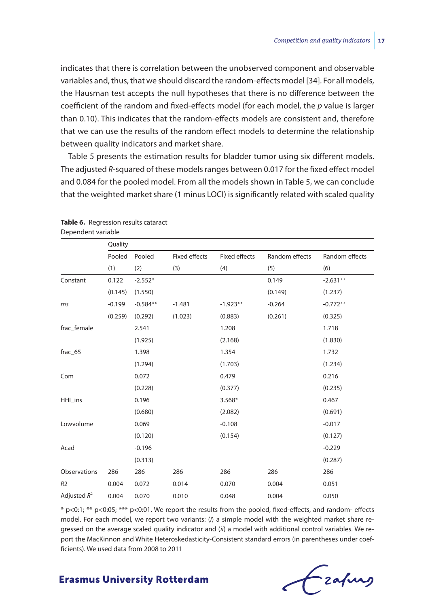indicates that there is correlation between the unobserved component and observable variables and, thus, that we should discard the random-effects model [34]. For all models, the Hausman test accepts the null hypotheses that there is no difference between the coefficient of the random and fixed-effects model (for each model, the *p* value is larger than 0.10). This indicates that the random-effects models are consistent and, therefore that we can use the results of the random effect models to determine the relationship between quality indicators and market share.

Table 5 presents the estimation results for bladder tumor using six different models. The adjusted *R*-squared of these models ranges between 0.017 for the fixed effect model and 0.084 for the pooled model. From all the models shown in Table 5, we can conclude that the weighted market share (1 minus LOCI) is significantly related with scaled quality

|                | Quality  |            |                      |                      |                |                |
|----------------|----------|------------|----------------------|----------------------|----------------|----------------|
|                | Pooled   | Pooled     | <b>Fixed effects</b> | <b>Fixed effects</b> | Random effects | Random effects |
|                | (1)      | (2)        | (3)                  | (4)                  | (5)            | (6)            |
| Constant       | 0.122    | $-2.552*$  |                      |                      | 0.149          | $-2.631**$     |
|                | (0.145)  | (1.550)    |                      |                      | (0.149)        | (1.237)        |
| ms             | $-0.199$ | $-0.584**$ | $-1.481$             | $-1.923**$           | $-0.264$       | $-0.772**$     |
|                | (0.259)  | (0.292)    | (1.023)              | (0.883)              | (0.261)        | (0.325)        |
| frac_female    |          | 2.541      |                      | 1.208                |                | 1.718          |
|                |          | (1.925)    |                      | (2.168)              |                | (1.830)        |
| frac_65        |          | 1.398      |                      | 1.354                |                | 1.732          |
|                |          | (1.294)    |                      | (1.703)              |                | (1.234)        |
| Com            |          | 0.072      |                      | 0.479                |                | 0.216          |
|                |          | (0.228)    |                      | (0.377)              |                | (0.235)        |
| HHI_ins        |          | 0.196      |                      | 3.568*               |                | 0.467          |
|                |          | (0.680)    |                      | (2.082)              |                | (0.691)        |
| Lowvolume      |          | 0.069      |                      | $-0.108$             |                | $-0.017$       |
|                |          | (0.120)    |                      | (0.154)              |                | (0.127)        |
| Acad           |          | $-0.196$   |                      |                      |                | $-0.229$       |
|                |          | (0.313)    |                      |                      |                | (0.287)        |
| Observations   | 286      | 286        | 286                  | 286                  | 286            | 286            |
| R <sub>2</sub> | 0.004    | 0.072      | 0.014                | 0.070                | 0.004          | 0.051          |
| Adjusted $R^2$ | 0.004    | 0.070      | 0.010                | 0.048                | 0.004          | 0.050          |

**Table 6.** Regression results cataract Dependent variable

\* p<0:1; \*\* p<0:05; \*\*\* p<0:01. We report the results from the pooled, fixed-effects, and random- effects model. For each model, we report two variants: (*i*) a simple model with the weighted market share regressed on the average scaled quality indicator and (*ii*) a model with additional control variables. We report the MacKinnon and White Heteroskedasticity-Consistent standard errors (in parentheses under coefficients). We used data from 2008 to 2011

Frahing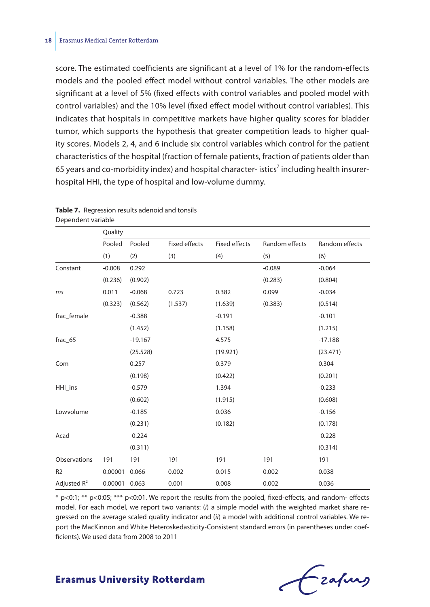score. The estimated coefficients are significant at a level of 1% for the random-effects models and the pooled effect model without control variables. The other models are significant at a level of 5% (fixed effects with control variables and pooled model with control variables) and the 10% level (fixed effect model without control variables). This indicates that hospitals in competitive markets have higher quality scores for bladder tumor, which supports the hypothesis that greater competition leads to higher quality scores. Models 2, 4, and 6 include six control variables which control for the patient characteristics of the hospital (fraction of female patients, fraction of patients older than 65 years and co-morbidity index) and hospital character- istics<sup>7</sup> including health insurerhospital HHI, the type of hospital and low-volume dummy.

|                     | Quality       |           |                      |                      |                |                |
|---------------------|---------------|-----------|----------------------|----------------------|----------------|----------------|
|                     | Pooled        | Pooled    | <b>Fixed effects</b> | <b>Fixed effects</b> | Random effects | Random effects |
|                     | (1)           | (2)       | (3)                  | (4)                  | (5)            | (6)            |
| Constant            | $-0.008$      | 0.292     |                      |                      | $-0.089$       | $-0.064$       |
|                     | (0.236)       | (0.902)   |                      |                      | (0.283)        | (0.804)        |
| ms                  | 0.011         | $-0.068$  | 0.723                | 0.382                | 0.099          | $-0.034$       |
|                     | (0.323)       | (0.562)   | (1.537)              | (1.639)              | (0.383)        | (0.514)        |
| frac_female         |               | $-0.388$  |                      | $-0.191$             |                | $-0.101$       |
|                     |               | (1.452)   |                      | (1.158)              |                | (1.215)        |
| frac_65             |               | $-19.167$ |                      | 4.575                |                | $-17.188$      |
|                     |               | (25.528)  |                      | (19.921)             |                | (23.471)       |
| Com                 |               | 0.257     |                      | 0.379                |                | 0.304          |
|                     |               | (0.198)   |                      | (0.422)              |                | (0.201)        |
| HHI_ins             |               | $-0.579$  |                      | 1.394                |                | $-0.233$       |
|                     |               | (0.602)   |                      | (1.915)              |                | (0.608)        |
| Lowvolume           |               | $-0.185$  |                      | 0.036                |                | $-0.156$       |
|                     |               | (0.231)   |                      | (0.182)              |                | (0.178)        |
| Acad                |               | $-0.224$  |                      |                      |                | $-0.228$       |
|                     |               | (0.311)   |                      |                      |                | (0.314)        |
| <b>Observations</b> | 191           | 191       | 191                  | 191                  | 191            | 191            |
| R <sub>2</sub>      | 0.00001       | 0.066     | 0.002                | 0.015                | 0.002          | 0.038          |
| Adjusted $R^2$      | 0.00001 0.063 |           | 0.001                | 0.008                | 0.002          | 0.036          |

| <b>Table 7.</b> Regression results adenoid and tonsils |
|--------------------------------------------------------|
| Dependent variable                                     |

\* p<0:1; \*\* p<0:05; \*\*\* p<0:01. We report the results from the pooled, fixed-effects, and random- effects model. For each model, we report two variants: (*i*) a simple model with the weighted market share regressed on the average scaled quality indicator and (*ii*) a model with additional control variables. We report the MacKinnon and White Heteroskedasticity-Consistent standard errors (in parentheses under coefficients). We used data from 2008 to 2011

# Lzafurg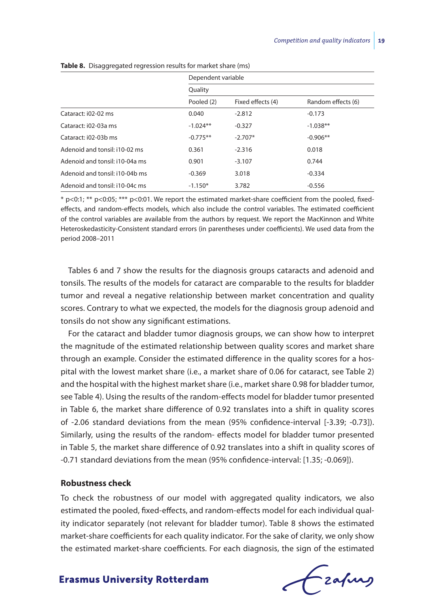|                                | Dependent variable<br>Quality |                   |                    |  |  |
|--------------------------------|-------------------------------|-------------------|--------------------|--|--|
|                                |                               |                   |                    |  |  |
|                                | Pooled (2)                    | Fixed effects (4) | Random effects (6) |  |  |
| Cataract: i02-02 ms            | 0.040                         | $-2.812$          | $-0.173$           |  |  |
| Cataract: i02-03a ms           | $-1.024**$                    | $-0.327$          | $-1.038**$         |  |  |
| Cataract: i02-03b ms           | $-0.775**$                    | $-2.707*$         | $-0.906**$         |  |  |
| Adenoid and tonsil: i10-02 ms  | 0.361                         | $-2.316$          | 0.018              |  |  |
| Adenoid and tonsil: i10-04a ms | 0.901                         | $-3.107$          | 0.744              |  |  |
| Adenoid and tonsil: i10-04b ms | $-0.369$                      | 3.018             | $-0.334$           |  |  |
| Adenoid and tonsil: i10-04c ms | $-1.150*$                     | 3.782             | $-0.556$           |  |  |

**Table 8.** Disaggregated regression results for market share (ms)

\* p<0:1; \*\* p<0:05; \*\*\* p<0:01. We report the estimated market-share coefficient from the pooled, fixedeffects, and random-effects models, which also include the control variables. The estimated coefficient of the control variables are available from the authors by request. We report the MacKinnon and White Heteroskedasticity-Consistent standard errors (in parentheses under coefficients). We used data from the period 2008–2011

Tables 6 and 7 show the results for the diagnosis groups cataracts and adenoid and tonsils. The results of the models for cataract are comparable to the results for bladder tumor and reveal a negative relationship between market concentration and quality scores. Contrary to what we expected, the models for the diagnosis group adenoid and tonsils do not show any significant estimations.

For the cataract and bladder tumor diagnosis groups, we can show how to interpret the magnitude of the estimated relationship between quality scores and market share through an example. Consider the estimated difference in the quality scores for a hospital with the lowest market share (i.e., a market share of 0.06 for cataract, see Table 2) and the hospital with the highest market share (i.e., market share 0.98 for bladder tumor, see Table 4). Using the results of the random-effects model for bladder tumor presented in Table 6, the market share difference of 0.92 translates into a shift in quality scores of -2.06 standard deviations from the mean (95% confidence-interval [-3.39; -0.73]). Similarly, using the results of the random- effects model for bladder tumor presented in Table 5, the market share difference of 0.92 translates into a shift in quality scores of -0.71 standard deviations from the mean (95% confidence-interval: [1.35; -0.069]).

#### **Robustness check**

To check the robustness of our model with aggregated quality indicators, we also estimated the pooled, fixed-effects, and random-effects model for each individual quality indicator separately (not relevant for bladder tumor). Table 8 shows the estimated market-share coefficients for each quality indicator. For the sake of clarity, we only show the estimated market-share coefficients. For each diagnosis, the sign of the estimated

Frafing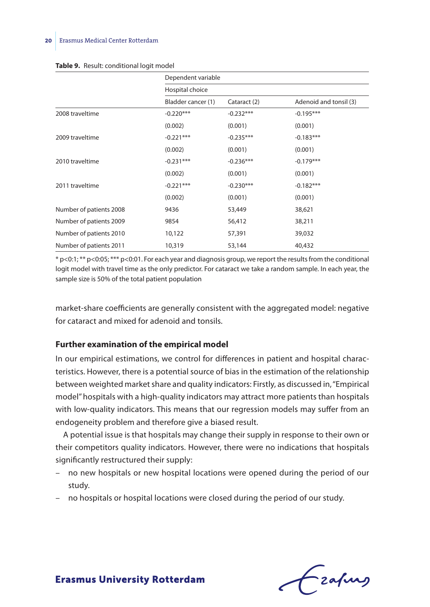|                         | Dependent variable |              |                        |
|-------------------------|--------------------|--------------|------------------------|
|                         | Hospital choice    |              |                        |
|                         | Bladder cancer (1) | Cataract (2) | Adenoid and tonsil (3) |
| 2008 traveltime         | $-0.220***$        | $-0.232***$  | $-0.195***$            |
|                         | (0.002)            | (0.001)      | (0.001)                |
| 2009 traveltime         | $-0.221***$        | $-0.235***$  | $-0.183***$            |
|                         | (0.002)            | (0.001)      | (0.001)                |
| 2010 traveltime         | $-0.231***$        | $-0.236***$  | $-0.179***$            |
|                         | (0.002)            | (0.001)      | (0.001)                |
| 2011 traveltime         | $-0.221***$        | $-0.230***$  | $-0.182***$            |
|                         | (0.002)            | (0.001)      | (0.001)                |
| Number of patients 2008 | 9436               | 53,449       | 38,621                 |
| Number of patients 2009 | 9854               | 56,412       | 38,211                 |
| Number of patients 2010 | 10,122             | 57,391       | 39,032                 |
| Number of patients 2011 | 10,319             | 53,144       | 40,432                 |

#### Table 9. Result: conditional logit model

\* p<0:1; \*\* p<0:05; \*\*\* p<0:01. For each year and diagnosis group, we report the results from the conditional logit model with travel time as the only predictor. For cataract we take a random sample. In each year, the sample size is 50% of the total patient population

market-share coefficients are generally consistent with the aggregated model: negative for cataract and mixed for adenoid and tonsils.

#### **Further examination of the empirical model**

In our empirical estimations, we control for differences in patient and hospital characteristics. However, there is a potential source of bias in the estimation of the relationship between weighted market share and quality indicators: Firstly, as discussed in, ''Empirical model'' hospitals with a high-quality indicators may attract more patients than hospitals with low-quality indicators. This means that our regression models may suffer from an endogeneity problem and therefore give a biased result.

A potential issue is that hospitals may change their supply in response to their own or their competitors quality indicators. However, there were no indications that hospitals significantly restructured their supply:

- no new hospitals or new hospital locations were opened during the period of our study.
- no hospitals or hospital locations were closed during the period of our study.

Frafing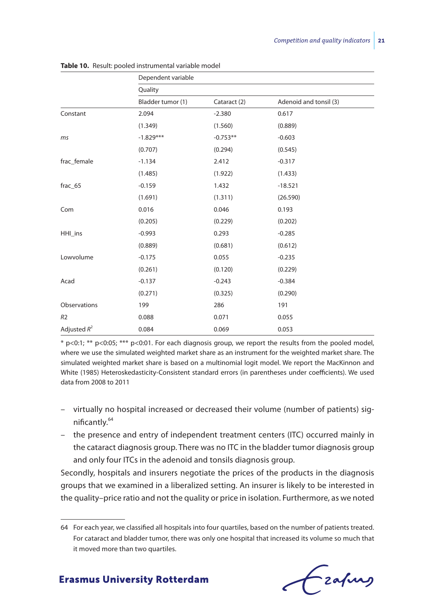|                | Dependent variable |              |                        |  |  |  |
|----------------|--------------------|--------------|------------------------|--|--|--|
|                | Quality            |              |                        |  |  |  |
|                | Bladder tumor (1)  | Cataract (2) | Adenoid and tonsil (3) |  |  |  |
| Constant       | 2.094              | $-2.380$     | 0.617                  |  |  |  |
|                | (1.349)            | (1.560)      | (0.889)                |  |  |  |
| ms             | $-1.829***$        | $-0.753**$   | $-0.603$               |  |  |  |
|                | (0.707)            | (0.294)      | (0.545)                |  |  |  |
| frac_female    | $-1.134$           | 2.412        | $-0.317$               |  |  |  |
|                | (1.485)            | (1.922)      | (1.433)                |  |  |  |
| frac_65        | $-0.159$           | 1.432        | $-18.521$              |  |  |  |
|                | (1.691)            | (1.311)      | (26.590)               |  |  |  |
| Com            | 0.016              | 0.046        | 0.193                  |  |  |  |
|                | (0.205)            | (0.229)      | (0.202)                |  |  |  |
| HHI_ins        | $-0.993$           | 0.293        | $-0.285$               |  |  |  |
|                | (0.889)            | (0.681)      | (0.612)                |  |  |  |
| Lowvolume      | $-0.175$           | 0.055        | $-0.235$               |  |  |  |
|                | (0.261)            | (0.120)      | (0.229)                |  |  |  |
| Acad           | $-0.137$           | $-0.243$     | $-0.384$               |  |  |  |
|                | (0.271)            | (0.325)      | (0.290)                |  |  |  |
| Observations   | 199                | 286          | 191                    |  |  |  |
| R <sub>2</sub> | 0.088              | 0.071        | 0.055                  |  |  |  |
| Adjusted $R^2$ | 0.084              | 0.069        | 0.053                  |  |  |  |

**Table 10.** Result: pooled instrumental variable model

\* p<0:1; \*\* p<0:05; \*\*\* p<0:01. For each diagnosis group, we report the results from the pooled model, where we use the simulated weighted market share as an instrument for the weighted market share. The simulated weighted market share is based on a multinomial logit model. We report the MacKinnon and White (1985) Heteroskedasticity-Consistent standard errors (in parentheses under coefficients). We used data from 2008 to 2011

- virtually no hospital increased or decreased their volume (number of patients) significantly.<sup>64</sup>
- the presence and entry of independent treatment centers (ITC) occurred mainly in the cataract diagnosis group. There was no ITC in the bladder tumor diagnosis group and only four ITCs in the adenoid and tonsils diagnosis group.

Secondly, hospitals and insurers negotiate the prices of the products in the diagnosis groups that we examined in a liberalized setting. An insurer is likely to be interested in the quality–price ratio and not the quality or price in isolation. Furthermore, as we noted

<sup>64</sup> For each year, we classified all hospitals into four quartiles, based on the number of patients treated. For cataract and bladder tumor, there was only one hospital that increased its volume so much that it moved more than two quartiles.

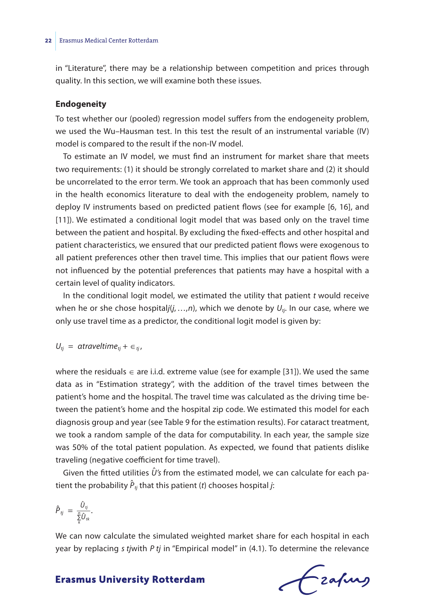in "Literature", there may be a relationship between competition and prices through quality. In this section, we will examine both these issues.

#### **Endogeneity**

To test whether our (pooled) regression model suffers from the endogeneity problem, we used the Wu–Hausman test. In this test the result of an instrumental variable (IV) model is compared to the result if the non-IV model.

To estimate an IV model, we must find an instrument for market share that meets two requirements: (1) it should be strongly correlated to market share and (2) it should be uncorrelated to the error term. We took an approach that has been commonly used in the health economics literature to deal with the endogeneity problem, namely to deploy IV instruments based on predicted patient flows (see for example [6, 16], and [11]). We estimated a conditional logit model that was based only on the travel time between the patient and hospital. By excluding the fixed-effects and other hospital and patient characteristics, we ensured that our predicted patient flows were exogenous to all patient preferences other then travel time. This implies that our patient flows were not influenced by the potential preferences that patients may have a hospital with a certain level of quality indicators.

In the conditional logit model, we estimated the utility that patient *t* would receive when he or she chose hospital $j(j_1,...,n)$ , which we denote by  $U_{ij}$ . In our case, where we only use travel time as a predictor, the conditional logit model is given by:

$$
U_{tj} = atravel time_{tj} + \epsilon_{tj},
$$

where the residuals  $\in$  are i.i.d. extreme value (see for example [31]). We used the same data as in ''Estimation strategy'', with the addition of the travel times between the patient's home and the hospital. The travel time was calculated as the driving time between the patient's home and the hospital zip code. We estimated this model for each diagnosis group and year (see Table 9 for the estimation results). For cataract treatment, we took a random sample of the data for computability. In each year, the sample size was 50% of the total patient population. As expected, we found that patients dislike traveling (negative coefficient for time travel).

Given the fitted utilities  $\hat{U}'$ s from the estimated model, we can calculate for each patient the probability *P*̂ *tj* that this patient (*t*) chooses hospital *j*:

$$
\hat{P}_{ij} = \frac{\hat{U}_{ij}}{\sum\limits_{k}^{n} \hat{U}_{ik}}.
$$

We can now calculate the simulated weighted market share for each hospital in each year by replacing *s tj*with *P tj* in ''Empirical model'' in (4.1). To determine the relevance

Frahing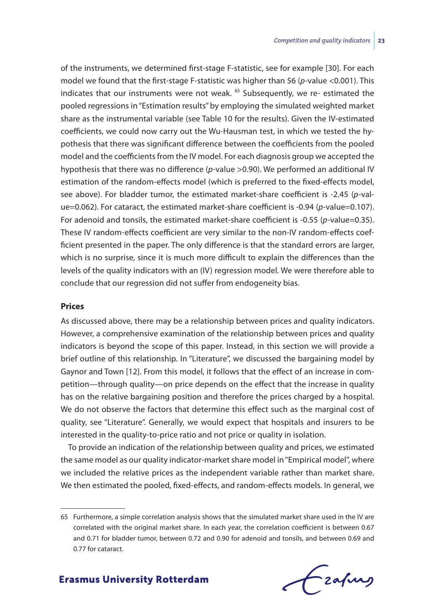of the instruments, we determined first-stage F-statistic, see for example [30]. For each model we found that the first-stage F-statistic was higher than 56 (*p-*value <0.001). This indicates that our instruments were not weak. <sup>65</sup> Subsequently, we re- estimated the pooled regressions in ''Estimation results'' by employing the simulated weighted market share as the instrumental variable (see Table 10 for the results). Given the IV-estimated coefficients, we could now carry out the Wu-Hausman test, in which we tested the hypothesis that there was significant difference between the coefficients from the pooled model and the coefficients from the IV model. For each diagnosis group we accepted the hypothesis that there was no difference (*p-*value >0.90). We performed an additional IV estimation of the random-effects model (which is preferred to the fixed-effects model, see above). For bladder tumor, the estimated market-share coefficient is -2.45 (*p-*value=0.062). For cataract, the estimated market-share coefficient is -0.94 (*p-*value=0.107). For adenoid and tonsils, the estimated market-share coefficient is -0.55 (*p-*value=0.35). These IV random-effects coefficient are very similar to the non-IV random-effects coefficient presented in the paper. The only difference is that the standard errors are larger, which is no surprise, since it is much more difficult to explain the differences than the levels of the quality indicators with an (IV) regression model. We were therefore able to conclude that our regression did not suffer from endogeneity bias.

#### **Prices**

As discussed above, there may be a relationship between prices and quality indicators. However, a comprehensive examination of the relationship between prices and quality indicators is beyond the scope of this paper. Instead, in this section we will provide a brief outline of this relationship. In ''Literature'', we discussed the bargaining model by Gaynor and Town [12]. From this model, it follows that the effect of an increase in competition—through quality—on price depends on the effect that the increase in quality has on the relative bargaining position and therefore the prices charged by a hospital. We do not observe the factors that determine this effect such as the marginal cost of quality, see ''Literature''. Generally, we would expect that hospitals and insurers to be interested in the quality-to-price ratio and not price or quality in isolation.

To provide an indication of the relationship between quality and prices, we estimated the same model as our quality indicator-market share model in ''Empirical model'', where we included the relative prices as the independent variable rather than market share. We then estimated the pooled, fixed-effects, and random-effects models. In general, we

<sup>65</sup> Furthermore, a simple correlation analysis shows that the simulated market share used in the IV are correlated with the original market share. In each year, the correlation coefficient is between 0.67 and 0.71 for bladder tumor, between 0.72 and 0.90 for adenoid and tonsils, and between 0.69 and 0.77 for cataract.

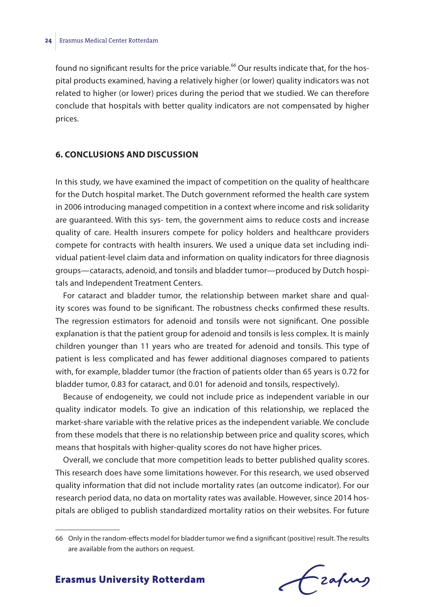found no significant results for the price variable.<sup>66</sup> Our results indicate that, for the hospital products examined, having a relatively higher (or lower) quality indicators was not related to higher (or lower) prices during the period that we studied. We can therefore conclude that hospitals with better quality indicators are not compensated by higher prices.

#### **6. CONCLUSIONS AND DISCUSSION**

In this study, we have examined the impact of competition on the quality of healthcare for the Dutch hospital market. The Dutch government reformed the health care system in 2006 introducing managed competition in a context where income and risk solidarity are guaranteed. With this sys- tem, the government aims to reduce costs and increase quality of care. Health insurers compete for policy holders and healthcare providers compete for contracts with health insurers. We used a unique data set including individual patient-level claim data and information on quality indicators for three diagnosis groups—cataracts, adenoid, and tonsils and bladder tumor—produced by Dutch hospitals and Independent Treatment Centers.

For cataract and bladder tumor, the relationship between market share and quality scores was found to be significant. The robustness checks confirmed these results. The regression estimators for adenoid and tonsils were not significant. One possible explanation is that the patient group for adenoid and tonsils is less complex. It is mainly children younger than 11 years who are treated for adenoid and tonsils. This type of patient is less complicated and has fewer additional diagnoses compared to patients with, for example, bladder tumor (the fraction of patients older than 65 years is 0.72 for bladder tumor, 0.83 for cataract, and 0.01 for adenoid and tonsils, respectively).

Because of endogeneity, we could not include price as independent variable in our quality indicator models. To give an indication of this relationship, we replaced the market-share variable with the relative prices as the independent variable. We conclude from these models that there is no relationship between price and quality scores, which means that hospitals with higher-quality scores do not have higher prices.

Overall, we conclude that more competition leads to better published quality scores. This research does have some limitations however. For this research, we used observed quality information that did not include mortality rates (an outcome indicator). For our research period data, no data on mortality rates was available. However, since 2014 hospitals are obliged to publish standardized mortality ratios on their websites. For future

Frahing

<sup>66</sup> Only in the random-effects model for bladder tumor we find a significant (positive) result. The results are available from the authors on request.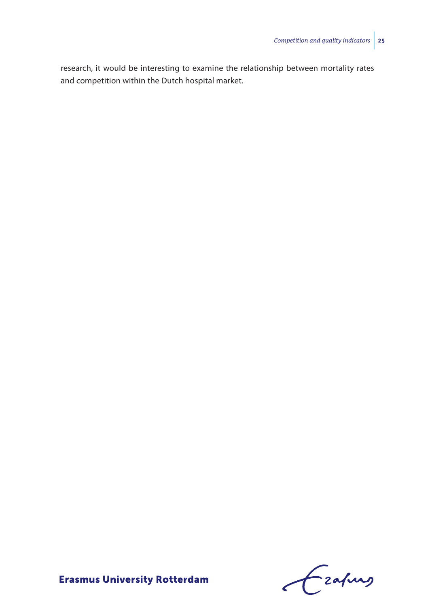research, it would be interesting to examine the relationship between mortality rates and competition within the Dutch hospital market.

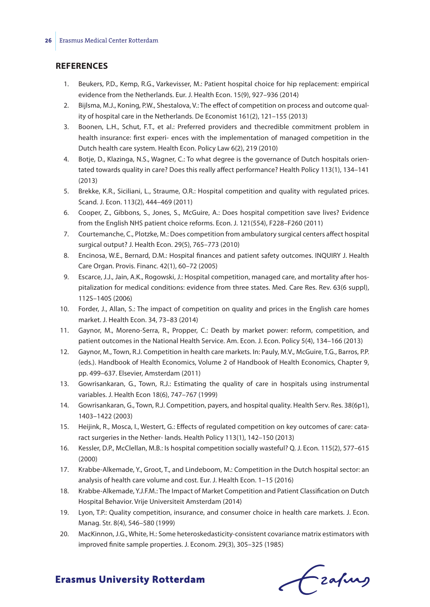#### **REFERENCES**

- 1. Beukers, P.D., Kemp, R.G., Varkevisser, M.: Patient hospital choice for hip replacement: empirical evidence from the Netherlands. Eur. J. Health Econ. 15(9), 927–936 (2014)
- 2. Bijlsma, M.J., Koning, P.W., Shestalova, V.: The effect of competition on process and outcome quality of hospital care in the Netherlands. De Economist 161(2), 121–155 (2013)
- 3. Boonen, L.H., Schut, F.T., et al.: Preferred providers and thecredible commitment problem in health insurance: first experi- ences with the implementation of managed competition in the Dutch health care system. Health Econ. Policy Law 6(2), 219 (2010)
- 4. Botje, D., Klazinga, N.S., Wagner, C.: To what degree is the governance of Dutch hospitals orientated towards quality in care? Does this really affect performance? Health Policy 113(1), 134–141 (2013)
- 5. Brekke, K.R., Siciliani, L., Straume, O.R.: Hospital competition and quality with regulated prices. Scand. J. Econ. 113(2), 444–469 (2011)
- 6. Cooper, Z., Gibbons, S., Jones, S., McGuire, A.: Does hospital competition save lives? Evidence from the English NHS patient choice reforms. Econ. J. 121(554), F228–F260 (2011)
- 7. Courtemanche, C., Plotzke, M.: Does competition from ambulatory surgical centers affect hospital surgical output? J. Health Econ. 29(5), 765–773 (2010)
- 8. Encinosa, W.E., Bernard, D.M.: Hospital finances and patient safety outcomes. INQUIRY J. Health Care Organ. Provis. Financ. 42(1), 60–72 (2005)
- 9. Escarce, J.J., Jain, A.K., Rogowski, J.: Hospital competition, managed care, and mortality after hospitalization for medical conditions: evidence from three states. Med. Care Res. Rev. 63(6 suppl), 112S–140S (2006)
- 10. Forder, J., Allan, S.: The impact of competition on quality and prices in the English care homes market. J. Health Econ. 34, 73–83 (2014)
- 11. Gaynor, M., Moreno-Serra, R., Propper, C.: Death by market power: reform, competition, and patient outcomes in the National Health Service. Am. Econ. J. Econ. Policy 5(4), 134–166 (2013)
- 12. Gaynor, M., Town, R.J. Competition in health care markets. In: Pauly, M.V., McGuire, T.G., Barros, P.P. (eds.). Handbook of Health Economics, Volume 2 of Handbook of Health Economics, Chapter 9, pp. 499–637. Elsevier, Amsterdam (2011)
- 13. Gowrisankaran, G., Town, R.J.: Estimating the quality of care in hospitals using instrumental variables. J. Health Econ 18(6), 747–767 (1999)
- 14. Gowrisankaran, G., Town, R.J. Competition, payers, and hospital quality. Health Serv. Res. 38(6p1), 1403–1422 (2003)
- 15. Heijink, R., Mosca, I., Westert, G.: Effects of regulated competition on key outcomes of care: cataract surgeries in the Nether- lands. Health Policy 113(1), 142–150 (2013)
- 16. Kessler, D.P., McClellan, M.B.: Is hospital competition socially wasteful? Q. J. Econ. 115(2), 577–615 (2000)
- 17. Krabbe-Alkemade, Y., Groot, T., and Lindeboom, M.: Competition in the Dutch hospital sector: an analysis of health care volume and cost. Eur. J. Health Econ. 1–15 (2016)
- 18. Krabbe-Alkemade, Y.J.F.M.: The Impact of Market Competition and Patient Classification on Dutch Hospital Behavior. Vrije Universiteit Amsterdam (2014)
- 19. Lyon, T.P.: Quality competition, insurance, and consumer choice in health care markets. J. Econ. Manag. Str. 8(4), 546–580 (1999)
- 20. MacKinnon, J.G., White, H.: Some heteroskedasticity-consistent covariance matrix estimators with improved finite sample properties. J. Econom. 29(3), 305–325 (1985)

Czafing